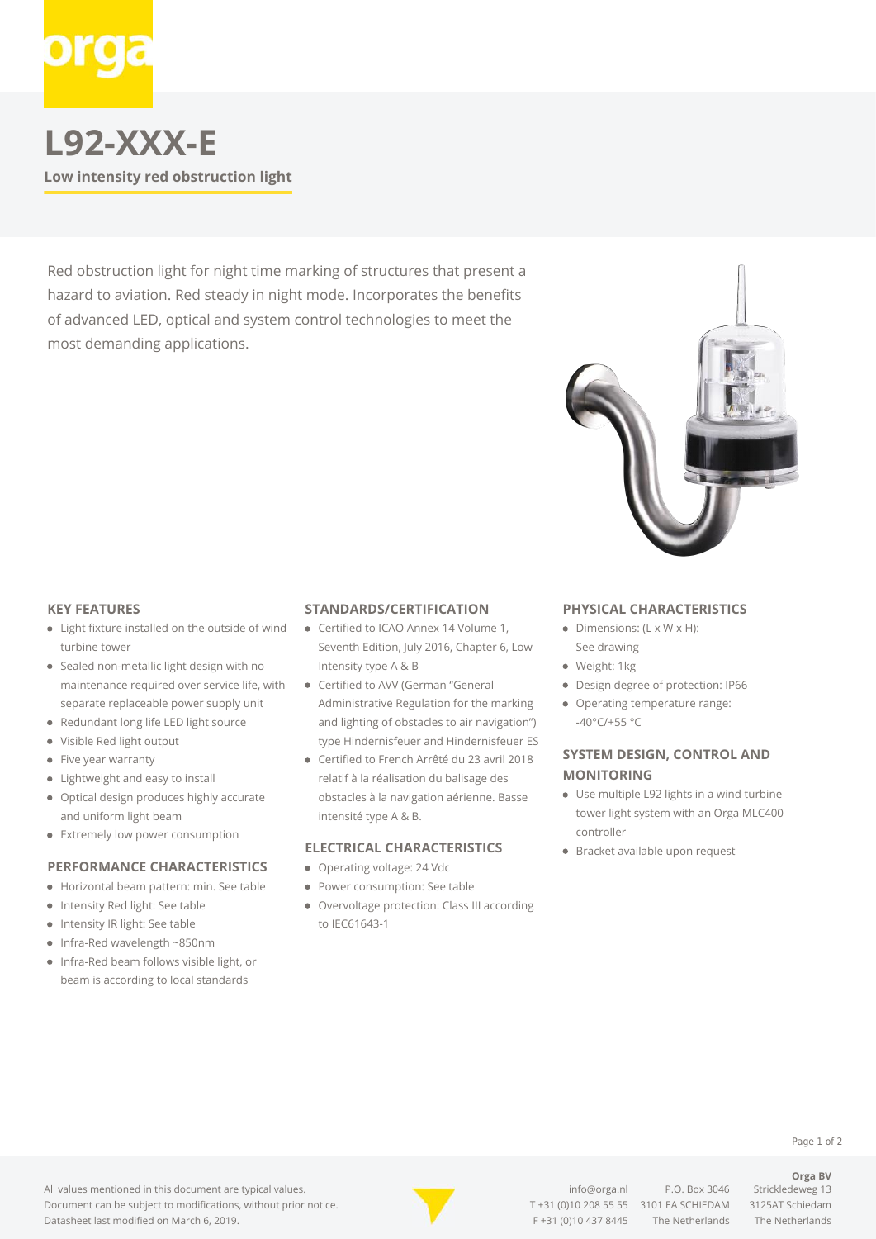

# **L92-XXX-E Low intensity red obstruction light**

Red obstruction light for night time marking of structures that present a hazard to aviation. Red steady in night mode. Incorporates the benefits of advanced LED, optical and system control technologies to meet the most demanding applications.

## **KEY FEATURES**

- Light fixture installed on the outside of wind turbine tower
- Sealed non-metallic light design with no maintenance required over service life, with separate replaceable power supply unit
- Redundant long life LED light source
- Visible Red light output  $\bullet$
- Five year warranty  $\bullet$
- Lightweight and easy to install
- $\bullet$ Optical design produces highly accurate and uniform light beam
- **•** Extremely low power consumption

## **PERFORMANCE CHARACTERISTICS**

- Horizontal beam pattern: min. See table
- Intensity Red light: See table
- Intensity IR light: See table
- $\bullet$ Infra-Red wavelength ~850nm
- Infra-Red beam follows visible light, or beam is according to local standards

#### **STANDARDS/CERTIFICATION**

- Certified to ICAO Annex 14 Volume 1, Seventh Edition, July 2016, Chapter 6, Low Intensity type A & B
- Certified to AVV (German "General Administrative Regulation for the marking and lighting of obstacles to air navigation") type Hindernisfeuer and Hindernisfeuer ES
- Certified to French Arrêté du 23 avril 2018 relatif à la réalisation du balisage des obstacles à la navigation aérienne. Basse intensité type A & B.

# **ELECTRICAL CHARACTERISTICS**

- Operating voltage: 24 Vdc
- Power consumption: See table
- Overvoltage protection: Class III according to IEC61643-1

### **PHYSICAL CHARACTERISTICS**

- $\bullet$  Dimensions: (L x W x H): See drawing
- · Weight: 1kg
- Design degree of protection: IP66
- Operating temperature range: -40°C/+55 °C

# **SYSTEM DESIGN, CONTROL AND MONITORING**

- Use multiple L92 lights in a wind turbine tower light system with an Orga MLC400 controller
- Bracket available upon request



[info@orga.nl](mailto:info@orga.nl) P.O. Box 3046 Strickledeweg 13 T [+31 \(0\)10 208 55 55](#page--1-0) 3101 EA SCHIEDAM 3125AT Schiedam F +31 (0)10 437 8445 The Netherlands The Netherlands

**Orga BV**

Page 1 of 2